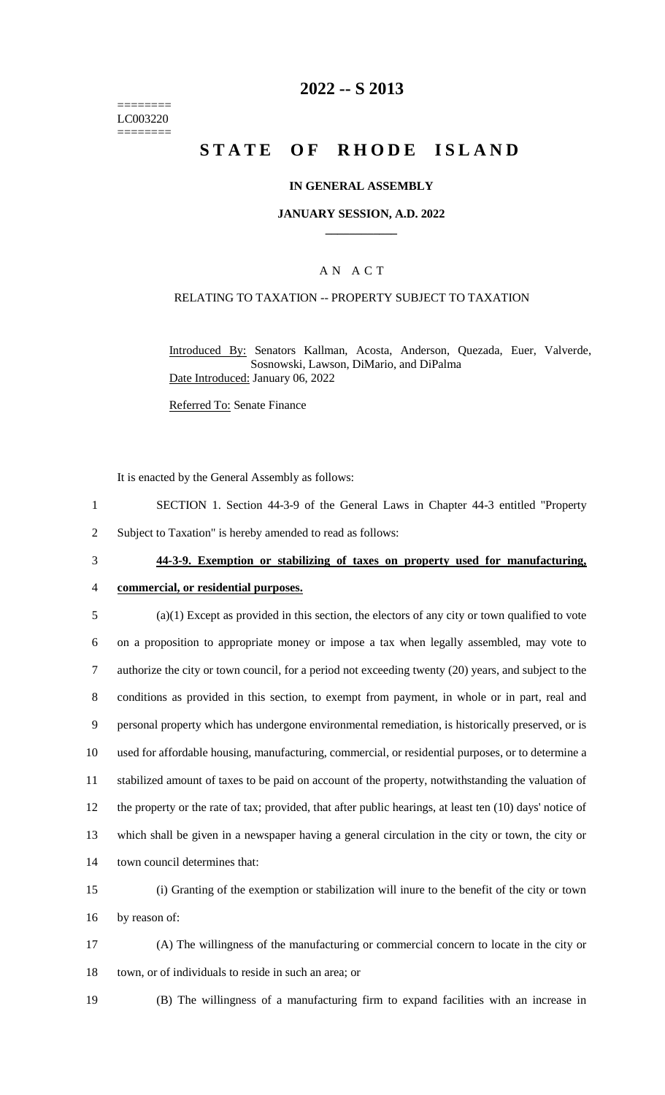======== LC003220 ========

## **2022 -- S 2013**

# **STATE OF RHODE ISLAND**

### **IN GENERAL ASSEMBLY**

#### **JANUARY SESSION, A.D. 2022 \_\_\_\_\_\_\_\_\_\_\_\_**

### A N A C T

### RELATING TO TAXATION -- PROPERTY SUBJECT TO TAXATION

Introduced By: Senators Kallman, Acosta, Anderson, Quezada, Euer, Valverde, Sosnowski, Lawson, DiMario, and DiPalma Date Introduced: January 06, 2022

Referred To: Senate Finance

It is enacted by the General Assembly as follows:

1 SECTION 1. Section 44-3-9 of the General Laws in Chapter 44-3 entitled "Property

2 Subject to Taxation" is hereby amended to read as follows:

# 3 **44-3-9. Exemption or stabilizing of taxes on property used for manufacturing,**

# 4 **commercial, or residential purposes.**

- 5 (a)(1) Except as provided in this section, the electors of any city or town qualified to vote 6 on a proposition to appropriate money or impose a tax when legally assembled, may vote to 7 authorize the city or town council, for a period not exceeding twenty (20) years, and subject to the 8 conditions as provided in this section, to exempt from payment, in whole or in part, real and 9 personal property which has undergone environmental remediation, is historically preserved, or is 10 used for affordable housing, manufacturing, commercial, or residential purposes, or to determine a 11 stabilized amount of taxes to be paid on account of the property, notwithstanding the valuation of 12 the property or the rate of tax; provided, that after public hearings, at least ten (10) days' notice of 13 which shall be given in a newspaper having a general circulation in the city or town, the city or 14 town council determines that:
- 15 (i) Granting of the exemption or stabilization will inure to the benefit of the city or town 16 by reason of:
- 17 (A) The willingness of the manufacturing or commercial concern to locate in the city or 18 town, or of individuals to reside in such an area; or
- 

19 (B) The willingness of a manufacturing firm to expand facilities with an increase in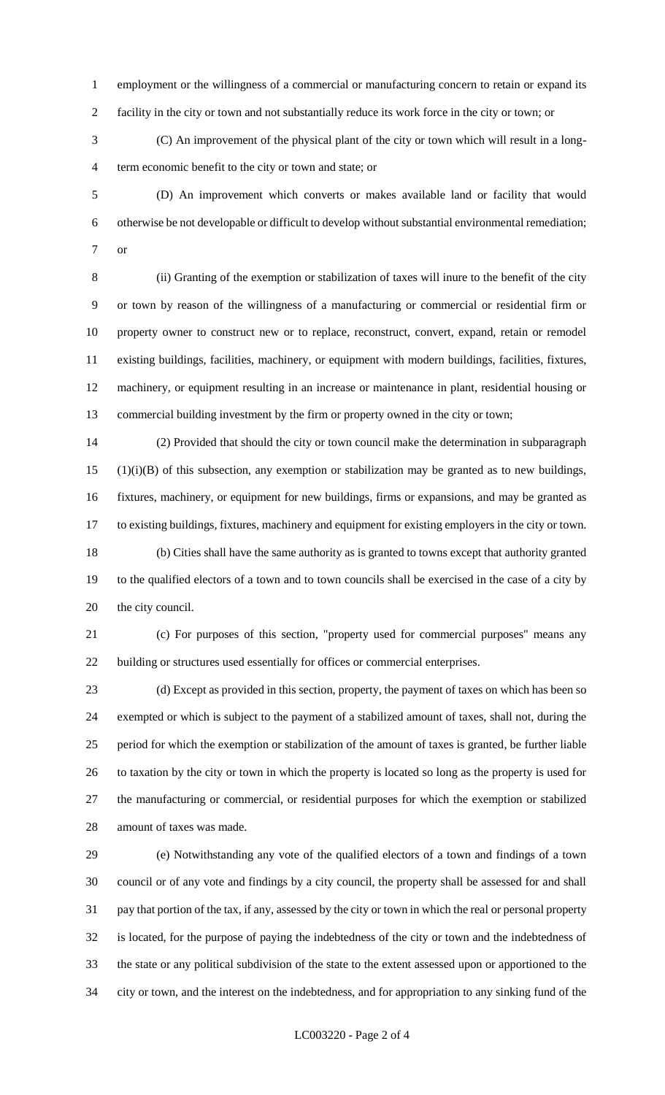employment or the willingness of a commercial or manufacturing concern to retain or expand its facility in the city or town and not substantially reduce its work force in the city or town; or

 (C) An improvement of the physical plant of the city or town which will result in a long-term economic benefit to the city or town and state; or

 (D) An improvement which converts or makes available land or facility that would otherwise be not developable or difficult to develop without substantial environmental remediation; or

 (ii) Granting of the exemption or stabilization of taxes will inure to the benefit of the city or town by reason of the willingness of a manufacturing or commercial or residential firm or property owner to construct new or to replace, reconstruct, convert, expand, retain or remodel existing buildings, facilities, machinery, or equipment with modern buildings, facilities, fixtures, machinery, or equipment resulting in an increase or maintenance in plant, residential housing or commercial building investment by the firm or property owned in the city or town;

 (2) Provided that should the city or town council make the determination in subparagraph (1)(i)(B) of this subsection, any exemption or stabilization may be granted as to new buildings, fixtures, machinery, or equipment for new buildings, firms or expansions, and may be granted as to existing buildings, fixtures, machinery and equipment for existing employers in the city or town. (b) Cities shall have the same authority as is granted to towns except that authority granted to the qualified electors of a town and to town councils shall be exercised in the case of a city by the city council.

 (c) For purposes of this section, "property used for commercial purposes" means any building or structures used essentially for offices or commercial enterprises.

 (d) Except as provided in this section, property, the payment of taxes on which has been so exempted or which is subject to the payment of a stabilized amount of taxes, shall not, during the period for which the exemption or stabilization of the amount of taxes is granted, be further liable to taxation by the city or town in which the property is located so long as the property is used for the manufacturing or commercial, or residential purposes for which the exemption or stabilized amount of taxes was made.

 (e) Notwithstanding any vote of the qualified electors of a town and findings of a town council or of any vote and findings by a city council, the property shall be assessed for and shall pay that portion of the tax, if any, assessed by the city or town in which the real or personal property is located, for the purpose of paying the indebtedness of the city or town and the indebtedness of the state or any political subdivision of the state to the extent assessed upon or apportioned to the city or town, and the interest on the indebtedness, and for appropriation to any sinking fund of the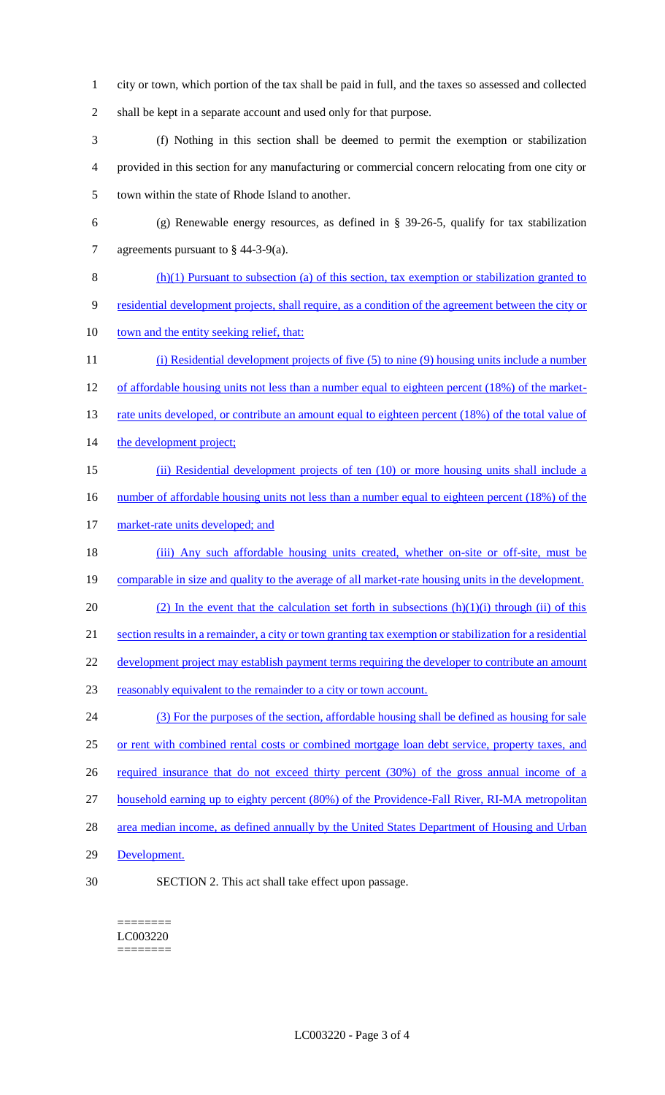- 1 city or town, which portion of the tax shall be paid in full, and the taxes so assessed and collected 2 shall be kept in a separate account and used only for that purpose.
- 3 (f) Nothing in this section shall be deemed to permit the exemption or stabilization 4 provided in this section for any manufacturing or commercial concern relocating from one city or 5 town within the state of Rhode Island to another.
- 6 (g) Renewable energy resources, as defined in § 39-26-5, qualify for tax stabilization 7 agreements pursuant to § 44-3-9(a).
- 8 (h)(1) Pursuant to subsection (a) of this section, tax exemption or stabilization granted to 9 residential development projects, shall require, as a condition of the agreement between the city or 10 town and the entity seeking relief, that: 11 (i) Residential development projects of five (5) to nine (9) housing units include a number
- 12 of affordable housing units not less than a number equal to eighteen percent (18%) of the market-13 rate units developed, or contribute an amount equal to eighteen percent (18%) of the total value of 14 the development project;
- 15 (ii) Residential development projects of ten (10) or more housing units shall include a 16 number of affordable housing units not less than a number equal to eighteen percent (18%) of the
- 17 market-rate units developed; and
- 18 (iii) Any such affordable housing units created, whether on-site or off-site, must be 19 comparable in size and quality to the average of all market-rate housing units in the development. 20 (2) In the event that the calculation set forth in subsections  $(h)(1)(i)$  through (ii) of this
- 21 section results in a remainder, a city or town granting tax exemption or stabilization for a residential
- 22 development project may establish payment terms requiring the developer to contribute an amount
- 23 reasonably equivalent to the remainder to a city or town account.
- 24 (3) For the purposes of the section, affordable housing shall be defined as housing for sale 25 or rent with combined rental costs or combined mortgage loan debt service, property taxes, and 26 required insurance that do not exceed thirty percent (30%) of the gross annual income of a 27 household earning up to eighty percent (80%) of the Providence-Fall River, RI-MA metropolitan 28 area median income, as defined annually by the United States Department of Housing and Urban
- 29 Development.
- 
- 30 SECTION 2. This act shall take effect upon passage.

#### ======== LC003220 ========